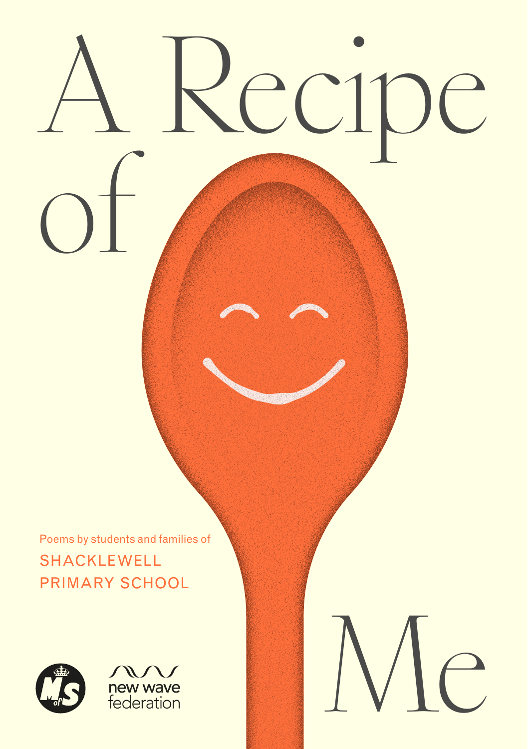# Recipe of

Me

Poems by students and families of SHACKLEWELL PRIMARY SCHOOL



new wave  $\overline{\phantom{a}}$   $\overline{\phantom{a}}$   $\overline{\phantom{a}}$   $\overline{\phantom{a}}$   $\overline{\phantom{a}}$   $\overline{\phantom{a}}$   $\overline{\phantom{a}}$   $\overline{\phantom{a}}$   $\overline{\phantom{a}}$   $\overline{\phantom{a}}$   $\overline{\phantom{a}}$   $\overline{\phantom{a}}$   $\overline{\phantom{a}}$   $\overline{\phantom{a}}$   $\overline{\phantom{a}}$   $\overline{\phantom{a}}$   $\overline{\phantom{a}}$   $\overline{\phantom{a}}$   $\overline{\$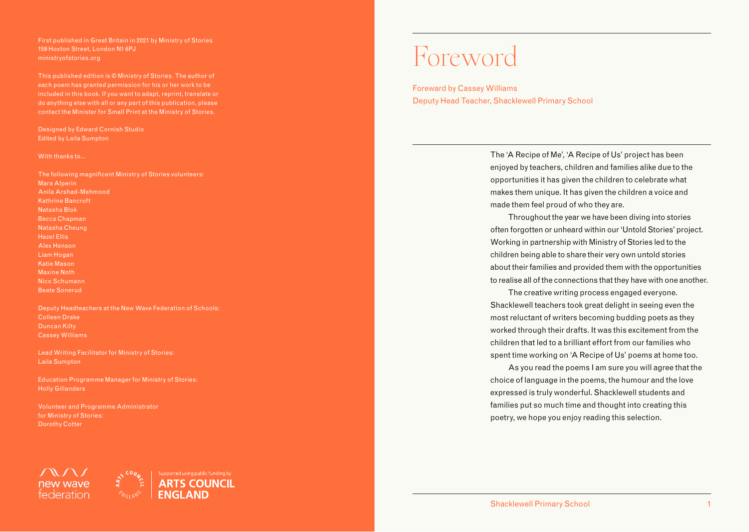First published in Great Britain in 2021 by Ministry of Stories 159 Hoxton Street, London N1 6PJ ministryofstories.org

This published edition is © Ministry of Stories. The author of each poem has granted permission for his or her work to be included in this book. If you want to adapt, reprint, translate or do anything else with all or any part of this publication, please contact the Minister for Small Print at the Ministry of Stories.

Designed by Edward Cornish Studio Edited by Laila Sumpton

### With thanks to...

The following magnificent Ministry of Stories volunteers: Mara Alperin Anila Arshad-Mehmood Kathrine Bancroft Natasha Blok Becca Chapman Natasha Cheung Hazel Ellis Alex Henson Liam Hogan Katie Mason Maxine Noth Nico Schumann Beate Sonerud

Deputy Headteachers at the New Wave Federation of Schools: Colleen Drake Duncan Kilty Cassey Williams

Lead Writing Facilitator for Ministry of Stories: Laila Sumpton

Education Programme Manager for Ministry of Stories: Holly Gillanders

Volunteer and Programme Administrator for Ministry of Stories: Dorothy Cotter



### Foreword

Foreward by Cassey Williams Deputy Head Teacher, Shacklewell Primary School

> The 'A Recipe of Me', 'A Recipe of Us' project has been enjoyed by teachers, children and families alike due to the opportunities it has given the children to celebrate what makes them unique. It has given the children a voice and made them feel proud of who they are.

Throughout the year we have been diving into stories often forgotten or unheard within our 'Untold Stories' project. Working in partnership with Ministry of Stories led to the children being able to share their very own untold stories about their families and provided them with the opportunities to realise all of the connections that they have with one another.

The creative writing process engaged everyone. Shacklewell teachers took great delight in seeing even the most reluctant of writers becoming budding poets as they worked through their drafts. It was this excitement from the children that led to a brilliant effort from our families who spent time working on 'A Recipe of Us' poems at home too.

As you read the poems I am sure you will agree that the choice of language in the poems, the humour and the love expressed is truly wonderful. Shacklewell students and families put so much time and thought into creating this poetry, we hope you enjoy reading this selection.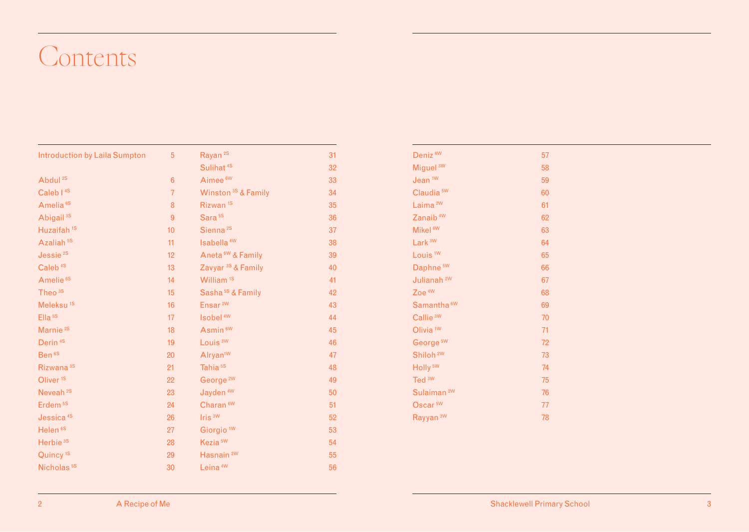### Contents

| <b>Introduction by Laila Sumpton</b> | 5              | Rayan <sup>2S</sup>            | 31 |
|--------------------------------------|----------------|--------------------------------|----|
|                                      |                | Sulihat <sup>4S</sup>          | 32 |
| Abdul <sup>2S</sup>                  | $6\phantom{1}$ | Aimee <sup>6W</sup>            | 33 |
| Caleb <sup>14S</sup>                 | $\overline{7}$ | Winston <sup>3S</sup> & Family | 34 |
| Amelia <sup>6S</sup>                 | 8              | Rizwan <sup>1S</sup>           | 35 |
| Abigail <sup>3S</sup>                | $\overline{9}$ | Sara <sup>5S</sup>             | 36 |
| Huzaifah <sup>1S</sup>               | 10             | Sienna <sup>2S</sup>           | 37 |
| Azaliah <sup>5S</sup>                | 11             | Isabella <sup>4W</sup>         | 38 |
| Jessie <sup>2S</sup>                 | 12             | Aneta <sup>6W</sup> & Family   | 39 |
| Caleb <sup>4S</sup>                  | 13             | Zavyar <sup>3S</sup> & Family  | 40 |
| Amelie <sup>6S</sup>                 | 14             | William <sup>1S</sup>          | 41 |
| Theo <sup>3S</sup>                   | 15             | Sasha <sup>5S</sup> & Family   | 42 |
| Meleksu <sup>1S</sup>                | 16             | Ensar <sup>2W</sup>            | 43 |
| Ella <sup>5S</sup>                   | 17             | Isobel <sup>4W</sup>           | 44 |
| Marnie <sup>2S</sup>                 | 18             | Asmin <sup>6W</sup>            | 45 |
| Derin <sup>4S</sup>                  | 19             | Louis <sup>3W</sup>            | 46 |
| Ben <sup>6S</sup>                    | 20             | Alryan <sup>1W</sup>           | 47 |
| Rizwana <sup>3S</sup>                | 21             | Tahia <sup>5S</sup>            | 48 |
| Oliver <sup>1S</sup>                 | 22             | George <sup>2W</sup>           | 49 |
| Neveah <sup>2S</sup>                 | 23             | Jayden <sup>4W</sup>           | 50 |
| Erdem <sup>5S</sup>                  | 24             | Charan <sup>6W</sup>           | 51 |
| Jessica <sup>4S</sup>                | 26             | Iris <sup>3W</sup>             | 52 |
| Helen <sup>6S</sup>                  | 27             | Giorgio <sup>1W</sup>          | 53 |
| Herbie <sup>3S</sup>                 | 28             | Kezia <sup>5W</sup>            | 54 |
| Quincy <sup>1S</sup>                 | 29             | Hasnain <sup>2W</sup>          | 55 |
| Nicholas <sup>5S</sup>               | 30             | Leina <sup>4W</sup>            | 56 |

| Deniz <sup>6W</sup>    | 57 |
|------------------------|----|
| Miguel <sup>3W</sup>   | 58 |
| Jean <sup>1W</sup>     | 59 |
| Claudia <sup>5W</sup>  | 60 |
| Laima <sup>2W</sup>    | 61 |
| Zanaib <sup>4W</sup>   | 62 |
| Mikel <sup>6W</sup>    | 63 |
| Lark <sup>3W</sup>     | 64 |
| Louis <sup>1W</sup>    | 65 |
| Daphne <sup>5W</sup>   | 66 |
| Julianah <sup>2W</sup> | 67 |
| Zoe <sup>4W</sup>      | 68 |
| Samantha <sup>6W</sup> | 69 |
| Callie <sup>3W</sup>   | 70 |
| Olivia <sup>1W</sup>   | 71 |
| George <sup>5W</sup>   | 72 |
| Shiloh <sup>2W</sup>   | 73 |
| Holly <sup>5W</sup>    | 74 |
| Ted <sup>3W</sup>      | 75 |
| Sulaiman <sup>2W</sup> | 76 |
| Oscar <sup>5W</sup>    | 77 |
| Rayyan <sup>3W</sup>   | 78 |
|                        |    |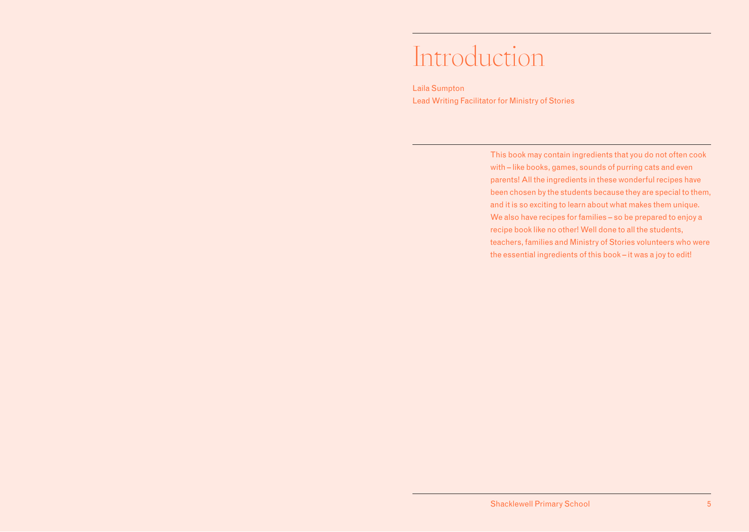### <span id="page-3-0"></span>Introduction

Laila Sumpton Lead Writing Facilitator for Ministry of Stories

> This book may contain ingredients that you do not often cook with – like books, games, sounds of purring cats and even parents! All the ingredients in these wonderful recipes have been chosen by the students because they are special to them, and it is so exciting to learn about what makes them unique. We also have recipes for families – so be prepared to enjoy a recipe book like no other! Well done to all the students, teachers, families and Ministry of Stories volunteers who were the essential ingredients of this book – it was a joy to edit!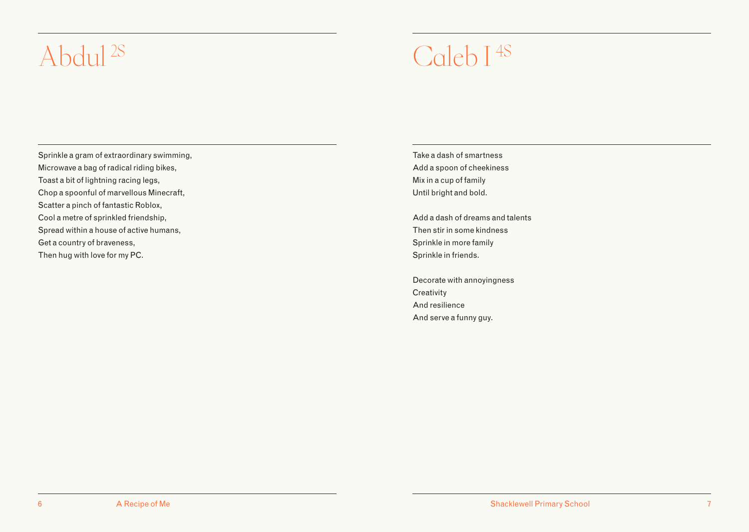### <span id="page-4-0"></span>Abdul<sup>2S</sup> Caleb I <sup>4S</sup>

Sprinkle a gram of extraordinary swimming, Microwave a bag of radical riding bikes, Toast a bit of lightning racing legs, Chop a spoonful of marvellous Minecraft, Scatter a pinch of fantastic Roblox, Cool a metre of sprinkled friendship, Spread within a house of active humans, Get a country of braveness, Then hug with love for my PC.

Take a dash of smartness Add a spoon of cheekiness Mix in a cup of family Until bright and bold.

Add a dash of dreams and talents Then stir in some kindness Sprinkle in more family Sprinkle in friends.

Decorate with annoyingness **Creativity** And resilience And serve a funny guy.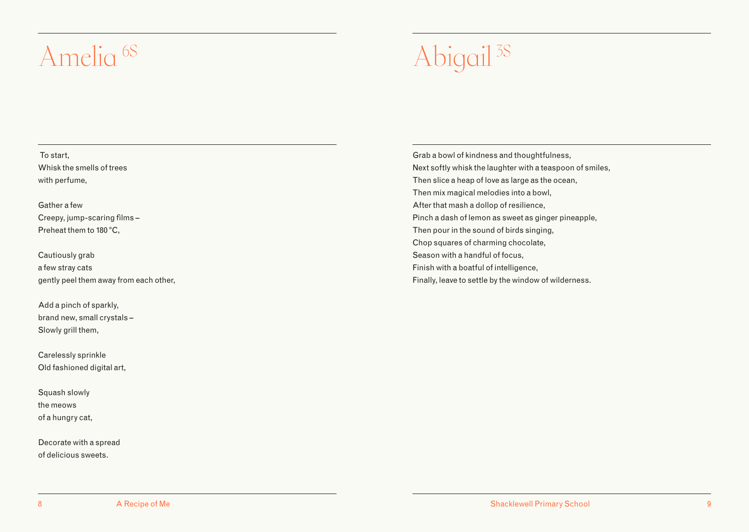### <span id="page-5-0"></span>Amelia<sup>6S</sup> Abigail <sup>3S</sup>

 To start, Whisk the smells of trees with perfume,

Gather a few Creepy, jump-scaring films – Preheat them to 180 °C,

Cautiously grab a few stray cats gently peel them away from each other,

Add a pinch of sparkly, brand new, small crystals – Slowly grill them,

Carelessly sprinkle Old fashioned digital art,

Squash slowly the meows of a hungry cat,

Decorate with a spread of delicious sweets.

Grab a bowl of kindness and thoughtfulness, Next softly whisk the laughter with a teaspoon of smiles, Then slice a heap of love as large as the ocean, Then mix magical melodies into a bowl, After that mash a dollop of resilience, Pinch a dash of lemon as sweet as ginger pineapple, Then pour in the sound of birds singing, Chop squares of charming chocolate, Season with a handful of focus, Finish with a boatful of intelligence, Finally, leave to settle by the window of wilderness.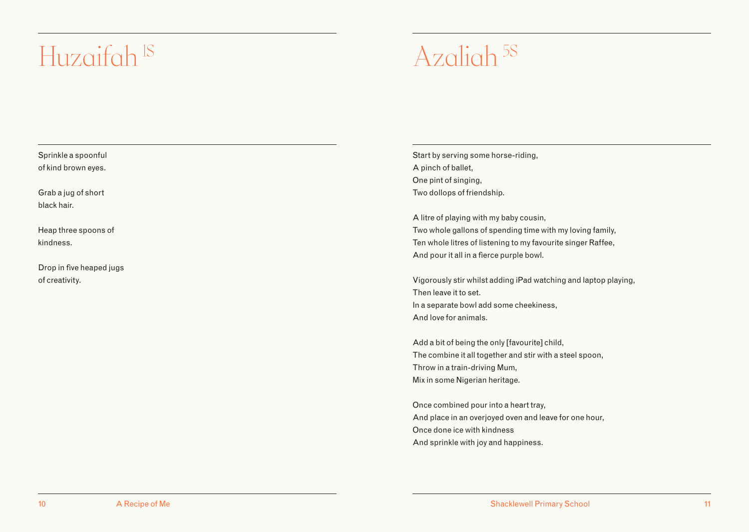### <span id="page-6-0"></span>Huzaifah <sup>IS</sup> Azaliah <sup>5S</sup>

Sprinkle a spoonful of kind brown eyes.

Grab a jug of short black hair.

Heap three spoons of kindness.

Drop in five heaped jugs of creativity.

Start by serving some horse-riding, A pinch of ballet, One pint of singing, Two dollops of friendship.

A litre of playing with my baby cousin, Two whole gallons of spending time with my loving family, Ten whole litres of listening to my favourite singer Raffee, And pour it all in a fierce purple bowl.

Vigorously stir whilst adding iPad watching and laptop playing, Then leave it to set. In a separate bowl add some cheekiness, And love for animals.

Add a bit of being the only [favourite] child, The combine it all together and stir with a steel spoon, Throw in a train-driving Mum, Mix in some Nigerian heritage.

Once combined pour into a heart tray, And place in an overjoyed oven and leave for one hour, Once done ice with kindness And sprinkle with joy and happiness.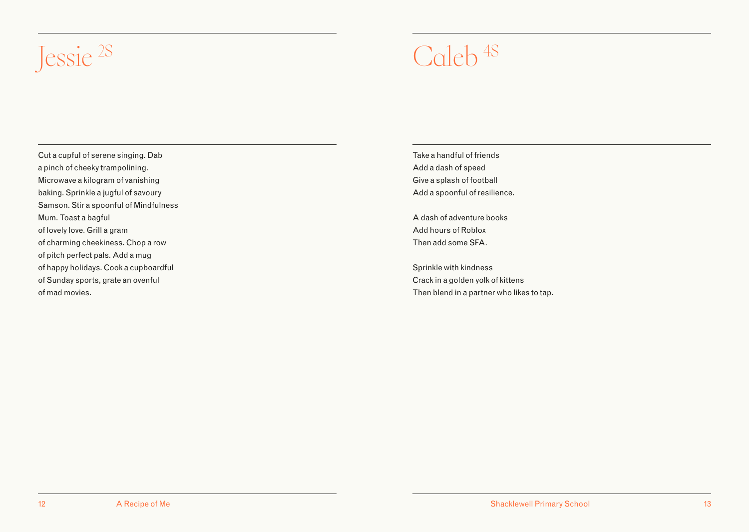<span id="page-7-0"></span>

Cut a cupful of serene singing. Dab a pinch of cheeky trampolining. Microwave a kilogram of vanishing baking. Sprinkle a jugful of savoury Samson. Stir a spoonful of Mindfulness Mum. Toast a bagful of lovely love. Grill a gram of charming cheekiness. Chop a row of pitch perfect pals. Add a mug of happy holidays. Cook a cupboardful of Sunday sports, grate an ovenful of mad movies.

Take a handful of friends Add a dash of speed Give a splash of football Add a spoonful of resilience.

A dash of adventure books Add hours of Roblox Then add some SFA.

Sprinkle with kindness Crack in a golden yolk of kittens Then blend in a partner who likes to tap.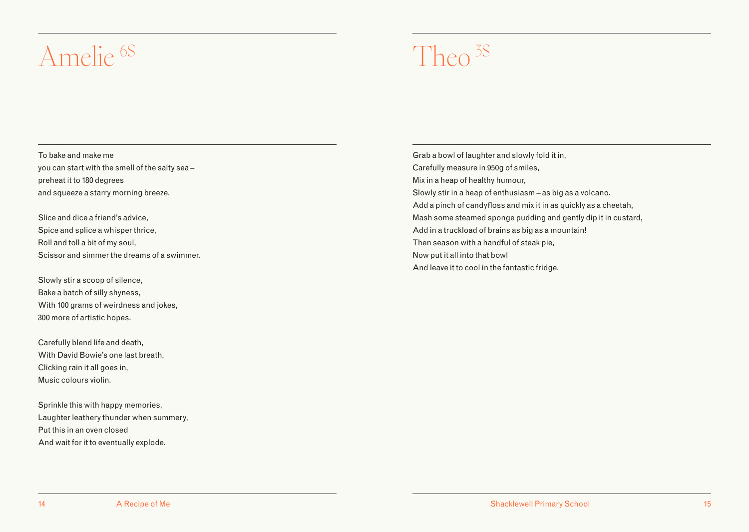### <span id="page-8-0"></span>Amelie 6S Theo 3S

To bake and make me you can start with the smell of the salty sea – preheat it to 180 degrees and squeeze a starry morning breeze.

Slice and dice a friend's advice, Spice and splice a whisper thrice, Roll and toll a bit of my soul, Scissor and simmer the dreams of a swimmer.

Slowly stir a scoop of silence, Bake a batch of silly shyness, With 100 grams of weirdness and jokes, 300 more of artistic hopes.

Carefully blend life and death, With David Bowie's one last breath, Clicking rain it all goes in, Music colours violin.

Sprinkle this with happy memories, Laughter leathery thunder when summery, Put this in an oven closed And wait for it to eventually explode.

Grab a bowl of laughter and slowly fold it in, Carefully measure in 950g of smiles, Mix in a heap of healthy humour, Slowly stir in a heap of enthusiasm – as big as a volcano. Add a pinch of candyfloss and mix it in as quickly as a cheetah, Mash some steamed sponge pudding and gently dip it in custard, Add in a truckload of brains as big as a mountain! Then season with a handful of steak pie, Now put it all into that bowl And leave it to cool in the fantastic fridge.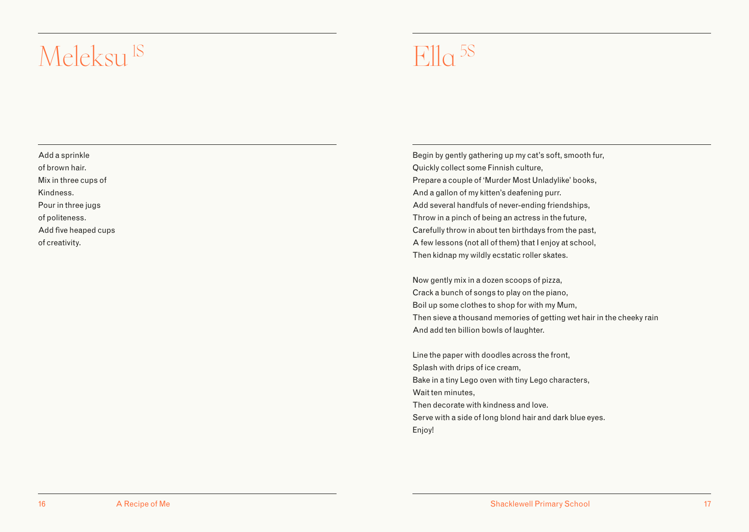### <span id="page-9-0"></span> $Meleksu<sup>1S</sup>$  Flla <sup>5S</sup>

Add a sprinkle of brown hair. Mix in three cups of Kindness. Pour in three jugs of politeness. Add five heaped cups

of creativity.

Begin by gently gathering up my cat's soft, smooth fur, Quickly collect some Finnish culture, Prepare a couple of 'Murder Most Unladylike' books, And a gallon of my kitten's deafening purr. Add several handfuls of never-ending friendships, Throw in a pinch of being an actress in the future, Carefully throw in about ten birthdays from the past, A few lessons (not all of them) that I enjoy at school, Then kidnap my wildly ecstatic roller skates.

Now gently mix in a dozen scoops of pizza, Crack a bunch of songs to play on the piano, Boil up some clothes to shop for with my Mum, Then sieve a thousand memories of getting wet hair in the cheeky rain And add ten billion bowls of laughter.

Line the paper with doodles across the front, Splash with drips of ice cream, Bake in a tiny Lego oven with tiny Lego characters, Wait ten minutes, Then decorate with kindness and love. Serve with a side of long blond hair and dark blue eyes. Enjoy!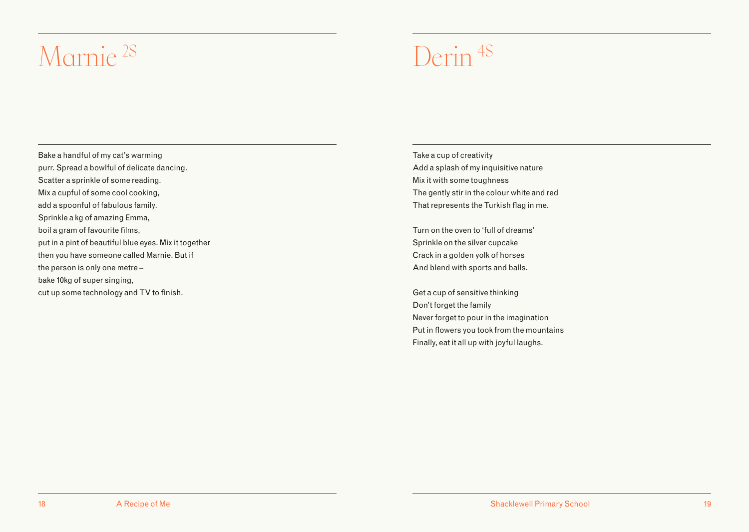### <span id="page-10-0"></span>Marnie 2S Derin 4S

Bake a handful of my cat's warming purr. Spread a bowlful of delicate dancing. Scatter a sprinkle of some reading. Mix a cupful of some cool cooking, add a spoonful of fabulous family. Sprinkle a kg of amazing Emma, boil a gram of favourite films, put in a pint of beautiful blue eyes. Mix it together then you have someone called Marnie. But if the person is only one metre – bake 10kg of super singing, cut up some technology and TV to finish.

Take a cup of creativity Add a splash of my inquisitive nature Mix it with some toughness The gently stir in the colour white and red That represents the Turkish flag in me.

Turn on the oven to 'full of dreams' Sprinkle on the silver cupcake Crack in a golden yolk of horses And blend with sports and balls.

Get a cup of sensitive thinking Don't forget the family Never forget to pour in the imagination Put in flowers you took from the mountains Finally, eat it all up with joyful laughs.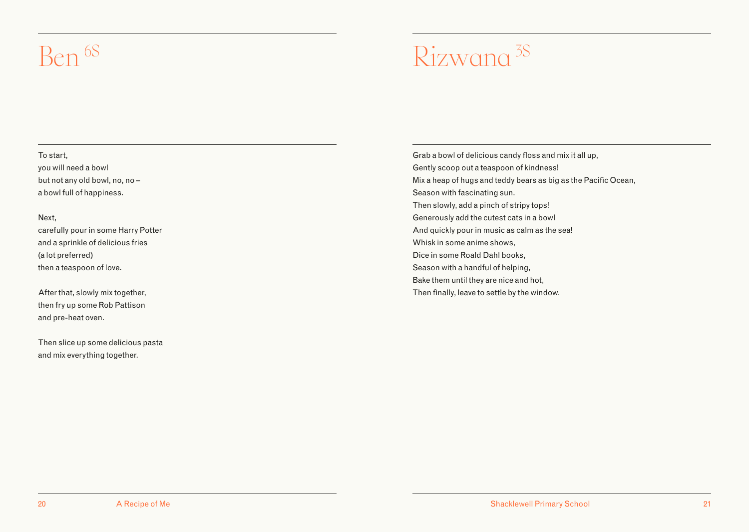### <span id="page-11-0"></span> $Rizwana<sup>3S</sup>$

### To start,

you will need a bowl but not any old bowl, no, no – a bowl full of happiness.

### Next,

carefully pour in some Harry Potter and a sprinkle of delicious fries (a lot preferred) then a teaspoon of love.

After that, slowly mix together, then fry up some Rob Pattison and pre-heat oven.

Then slice up some delicious pasta and mix everything together.

Grab a bowl of delicious candy floss and mix it all up, Gently scoop out a teaspoon of kindness! Mix a heap of hugs and teddy bears as big as the Pacific Ocean, Season with fascinating sun. Then slowly, add a pinch of stripy tops! Generously add the cutest cats in a bowl And quickly pour in music as calm as the sea! Whisk in some anime shows, Dice in some Roald Dahl books, Season with a handful of helping, Bake them until they are nice and hot, Then finally, leave to settle by the window.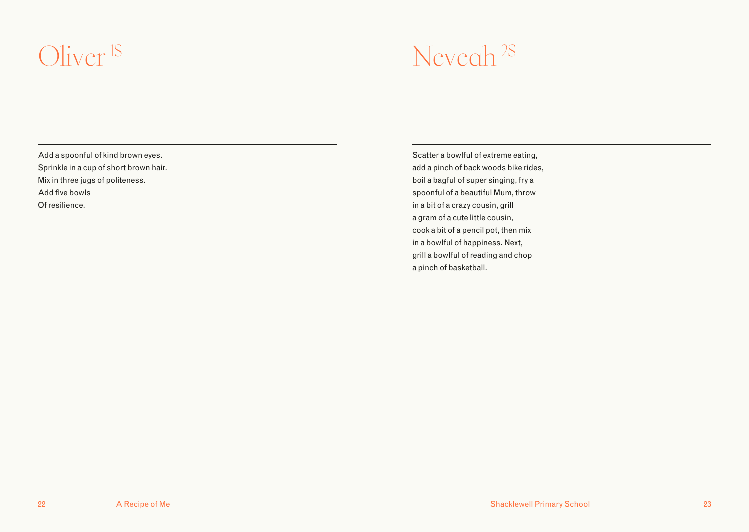### <span id="page-12-0"></span>Oliver<sup>1S</sup> Neveah<sup>2S</sup>

Add a spoonful of kind brown eyes. Sprinkle in a cup of short brown hair. Mix in three jugs of politeness. Add five bowls Of resilience.

Scatter a bowlful of extreme eating, add a pinch of back woods bike rides, boil a bagful of super singing, fry a spoonful of a beautiful Mum, throw in a bit of a crazy cousin, grill a gram of a cute little cousin, cook a bit of a pencil pot, then mix in a bowlful of happiness. Next, grill a bowlful of reading and chop a pinch of basketball.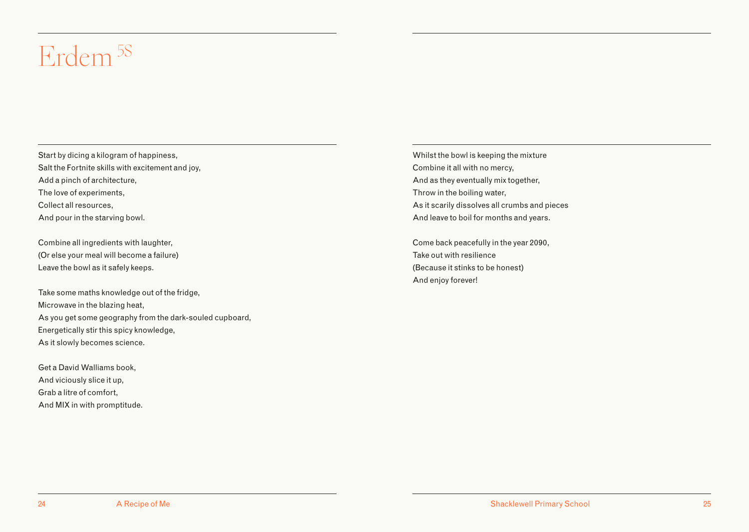### <span id="page-13-0"></span>Erdem 5S

Start by dicing a kilogram of happiness, Salt the Fortnite skills with excitement and joy, Add a pinch of architecture, The love of experiments, Collect all resources, And pour in the starving bowl.

Combine all ingredients with laughter, (Or else your meal will become a failure) Leave the bowl as it safely keeps.

Take some maths knowledge out of the fridge, Microwave in the blazing heat, As you get some geography from the dark-souled cupboard, Energetically stir this spicy knowledge, As it slowly becomes science.

Get a David Walliams book, And viciously slice it up, Grab a litre of comfort, And MIX in with promptitude. Whilst the bowl is keeping the mixture Combine it all with no mercy, And as they eventually mix together, Throw in the boiling water, As it scarily dissolves all crumbs and pieces And leave to boil for months and years.

Come back peacefully in the year 2090, Take out with resilience (Because it stinks to be honest) And enjoy forever!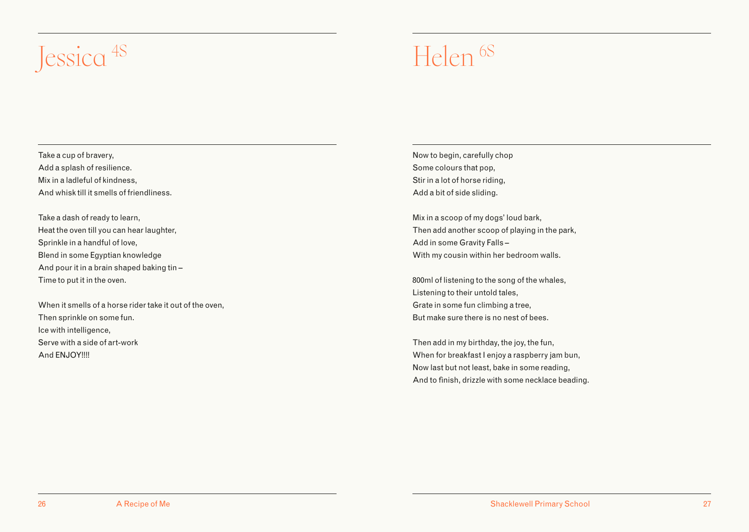### <span id="page-14-0"></span>Jessica<sup>4S</sup> Helen <sup>6S</sup>

Take a cup of bravery, Add a splash of resilience. Mix in a ladleful of kindness, And whisk till it smells of friendliness.

Take a dash of ready to learn, Heat the oven till you can hear laughter, Sprinkle in a handful of love, Blend in some Egyptian knowledge And pour it in a brain shaped baking tin – Time to put it in the oven.

When it smells of a horse rider take it out of the oven, Then sprinkle on some fun. Ice with intelligence, Serve with a side of art-work And ENJOY!!!!

Now to begin, carefully chop Some colours that pop, Stir in a lot of horse riding, Add a bit of side sliding.

Mix in a scoop of my dogs' loud bark, Then add another scoop of playing in the park, Add in some Gravity Falls – With my cousin within her bedroom walls.

800ml of listening to the song of the whales, Listening to their untold tales, Grate in some fun climbing a tree, But make sure there is no nest of bees.

Then add in my birthday, the joy, the fun, When for breakfast I enjoy a raspberry jam bun, Now last but not least, bake in some reading, And to finish, drizzle with some necklace beading.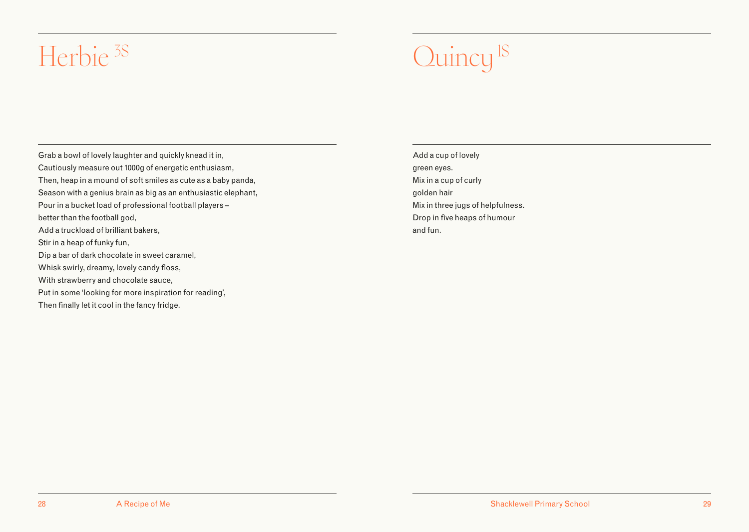### <span id="page-15-0"></span>Herbie <sup>3S</sup> Quincy <sup>1S</sup>

Grab a bowl of lovely laughter and quickly knead it in, Cautiously measure out 1000g of energetic enthusiasm, Then, heap in a mound of soft smiles as cute as a baby panda, Season with a genius brain as big as an enthusiastic elephant, Pour in a bucket load of professional football players – better than the football god. Add a truckload of brilliant bakers, Stir in a heap of funky fun, Dip a bar of dark chocolate in sweet caramel, Whisk swirly, dreamy, lovely candy floss, With strawberry and chocolate sauce, Put in some 'looking for more inspiration for reading',

Then finally let it cool in the fancy fridge.

Add a cup of lovely green eyes. Mix in a cup of curly golden hair Mix in three jugs of helpfulness. Drop in five heaps of humour and fun.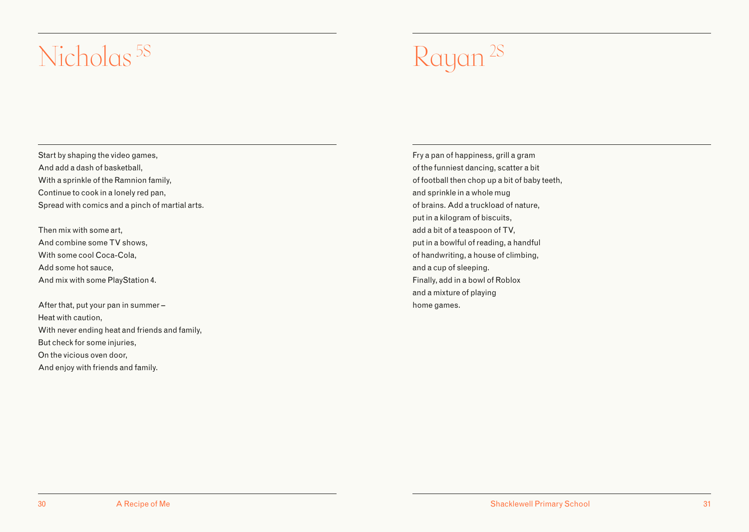### <span id="page-16-0"></span>Nicholas<sup>5S</sup> Rayan <sup>2S</sup>

Start by shaping the video games, And add a dash of basketball, With a sprinkle of the Ramnion family, Continue to cook in a lonely red pan, Spread with comics and a pinch of martial arts.

Then mix with some art, And combine some TV shows, With some cool Coca-Cola, Add some hot sauce, And mix with some PlayStation 4.

After that, put your pan in summer – Heat with caution, With never ending heat and friends and family, But check for some injuries, On the vicious oven door, And enjoy with friends and family.

Fry a pan of happiness, grill a gram of the funniest dancing, scatter a bit of football then chop up a bit of baby teeth, and sprinkle in a whole mug of brains. Add a truckload of nature, put in a kilogram of biscuits, add a bit of a teaspoon of TV, put in a bowlful of reading, a handful of handwriting, a house of climbing, and a cup of sleeping. Finally, add in a bowl of Roblox and a mixture of playing home games.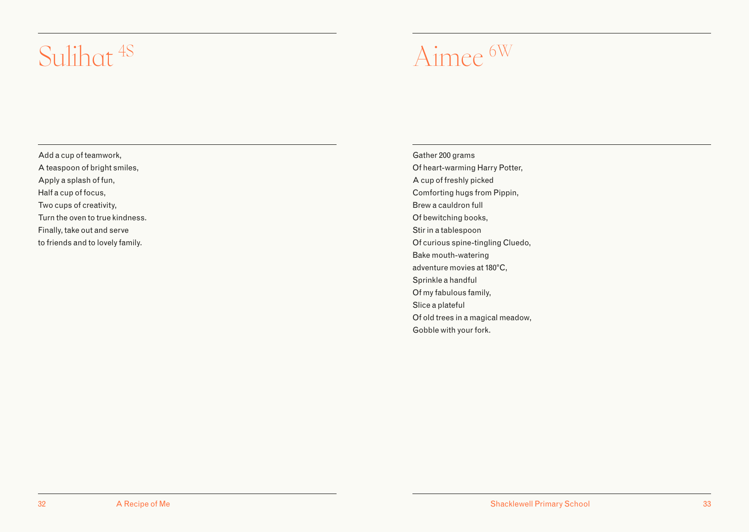### <span id="page-17-0"></span>Aimee 6W Sulihat 4S

Add a cup of teamwork, A teaspoon of bright smiles, Apply a splash of fun, Half a cup of focus, Two cups of creativity, Turn the oven to true kindness. Finally, take out and serve to friends and to lovely family.

Gather 200 grams Of heart-warming Harry Potter, A cup of freshly picked Comforting hugs from Pippin, Brew a cauldron full Of bewitching books, Stir in a tablespoon Of curious spine-tingling Cluedo, Bake mouth-watering adventure movies at 180°C, Sprinkle a handful Of my fabulous family, Slice a plateful Of old trees in a magical meadow, Gobble with your fork.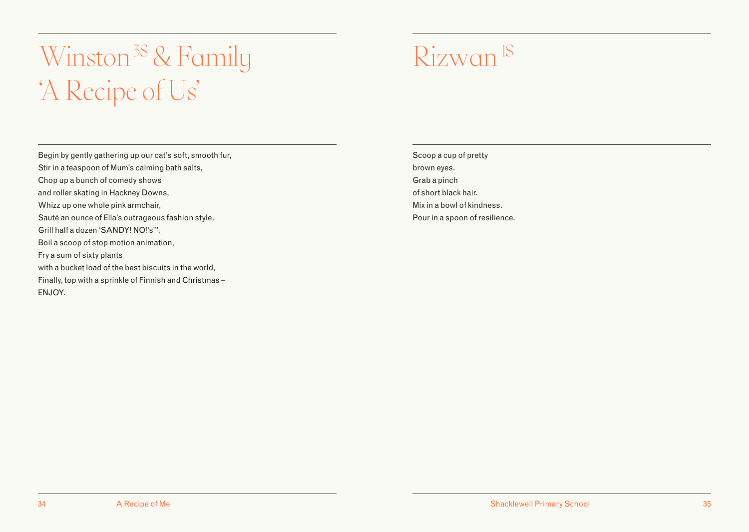### <span id="page-18-0"></span>Winston<sup>3S</sup> & Family Rizwan<sup>1S</sup> 'A Recipe of Us'

Begin by gently gathering up our cat's soft, smooth fur, Stir in a teaspoon of Mum's calming bath salts, Chop up a bunch of comedy shows and roller skating in Hackney Downs, Whizz up one whole pink armchair, Sauté an ounce of Ella's outrageous fashion style, Grill half a dozen 'SANDY! NO!'s'", Boil a scoop of stop motion animation, Fry a sum of sixty plants with a bucket load of the best biscuits in the world, Finally, top with a sprinkle of Finnish and Christmas – ENJOY.

Scoop a cup of pretty brown eyes. Grab a pinch of short black hair. Mix in a bowl of kindness. Pour in a spoon of resilience.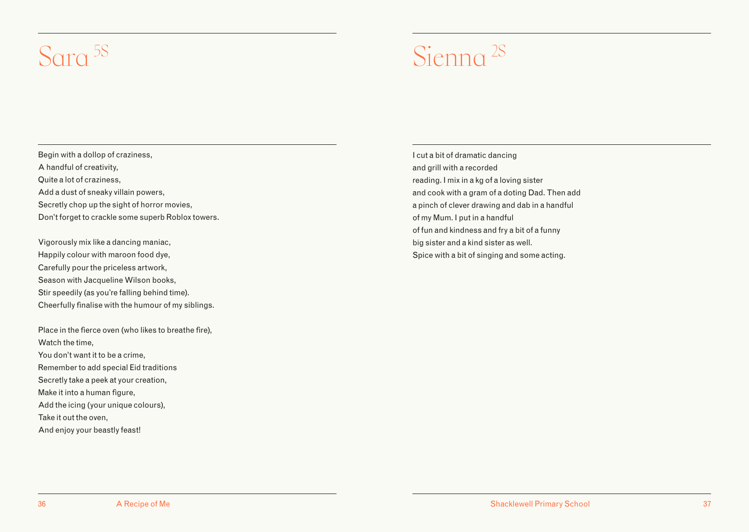### <span id="page-19-0"></span>Sara <sup>5S</sup> Sienna <sup>2S</sup>

Begin with a dollop of craziness, A handful of creativity, Quite a lot of craziness, Add a dust of sneaky villain powers, Secretly chop up the sight of horror movies, Don't forget to crackle some superb Roblox towers.

Vigorously mix like a dancing maniac, Happily colour with maroon food dye, Carefully pour the priceless artwork, Season with Jacqueline Wilson books, Stir speedily (as you're falling behind time). Cheerfully finalise with the humour of my siblings.

Place in the fierce oven (who likes to breathe fire), Watch the time, You don't want it to be a crime, Remember to add special Eid traditions Secretly take a peek at your creation, Make it into a human figure, Add the icing (your unique colours), Take it out the oven, And enjoy your beastly feast!

I cut a bit of dramatic dancing and grill with a recorded reading. I mix in a kg of a loving sister and cook with a gram of a doting Dad. Then add a pinch of clever drawing and dab in a handful of my Mum. I put in a handful of fun and kindness and fry a bit of a funny big sister and a kind sister as well. Spice with a bit of singing and some acting.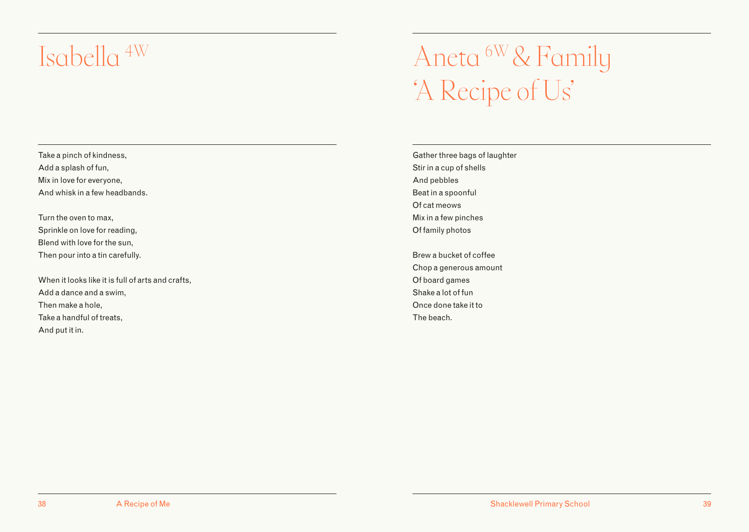### <span id="page-20-0"></span>Isabella 4W

### Aneta 6W & Family 'A Recipe of Us'

Take a pinch of kindness, Add a splash of fun, Mix in love for everyone, And whisk in a few headbands.

Turn the oven to max, Sprinkle on love for reading, Blend with love for the sun, Then pour into a tin carefully.

When it looks like it is full of arts and crafts, Add a dance and a swim, Then make a hole, Take a handful of treats, And put it in.

Gather three bags of laughter Stir in a cup of shells And pebbles Beat in a spoonful Of cat meows Mix in a few pinches Of family photos

Brew a bucket of coffee Chop a generous amount Of board games Shake a lot of fun Once done take it to The beach.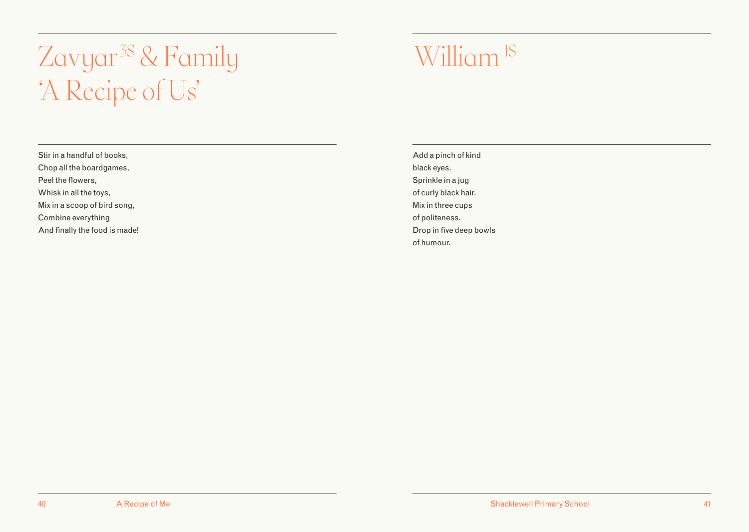### <span id="page-21-0"></span>Zavyar<sup>3S</sup> & Family William<sup>1S</sup> 'A Recipe of Us'

Stir in a handful of books, Chop all the boardgames, Peel the flowers, Whisk in all the toys, Mix in a scoop of bird song, Combine everything And finally the food is made!

Add a pinch of kind black eyes. Sprinkle in a jug of curly black hair. Mix in three cups of politeness. Drop in five deep bowls of humour.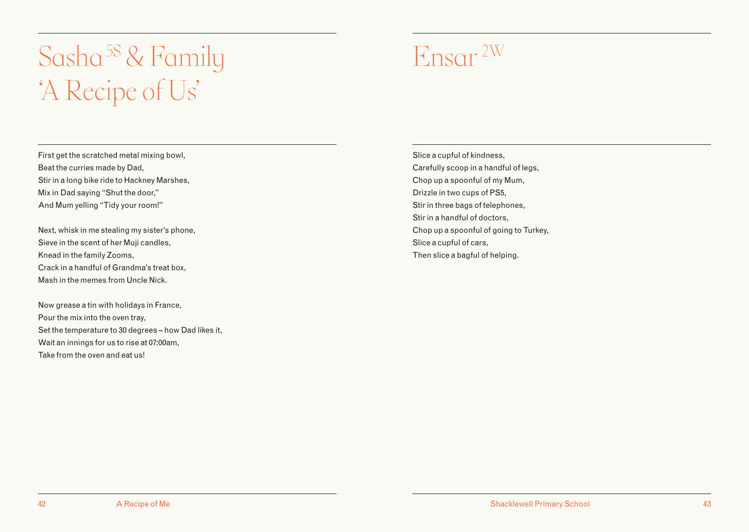### <span id="page-22-0"></span>Sasha<sup>5S</sup> & Family Ensar 2W 'A Recipe of Us'

First get the scratched metal mixing bowl, Beat the curries made by Dad, Stir in a long bike ride to Hackney Marshes, Mix in Dad saying "Shut the door," And Mum yelling "Tidy your room!"

Next, whisk in me stealing my sister's phone, Sieve in the scent of her Muji candles, Knead in the family Zooms, Crack in a handful of Grandma's treat box, Mash in the memes from Uncle Nick.

Now grease a tin with holidays in France, Pour the mix into the oven tray, Set the temperature to 30 degrees – how Dad likes it, Wait an innings for us to rise at 07:00am, Take from the oven and eat us!

Slice a cupful of kindness, Carefully scoop in a handful of legs, Chop up a spoonful of my Mum, Drizzle in two cups of PS5, Stir in three bags of telephones, Stir in a handful of doctors, Chop up a spoonful of going to Turkey, Slice a cupful of cars, Then slice a bagful of helping.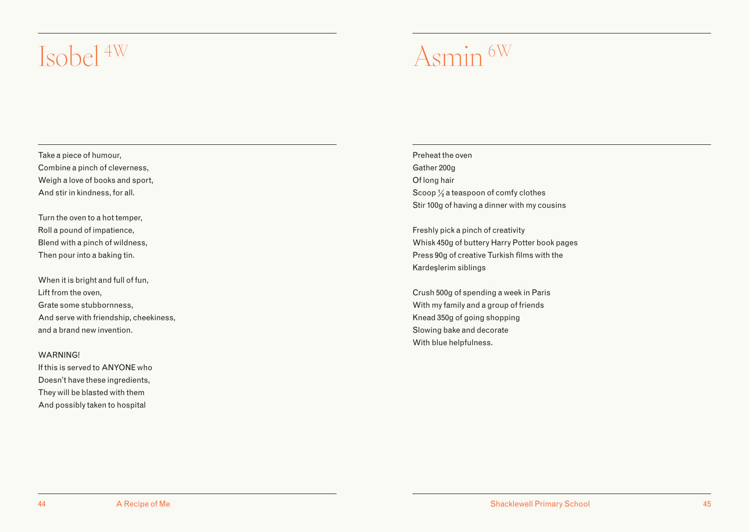### <span id="page-23-0"></span>Asmin 6W Isobel 4W

Take a piece of humour, Combine a pinch of cleverness, Weigh a love of books and sport, And stir in kindness, for all.

Turn the oven to a hot temper, Roll a pound of impatience, Blend with a pinch of wildness, Then pour into a baking tin.

When it is bright and full of fun, Lift from the oven, Grate some stubbornness, And serve with friendship, cheekiness, and a brand new invention.

WARNING!

If this is served to ANYONE who Doesn't have these ingredients, They will be blasted with them And possibly taken to hospital

Preheat the oven Gather 200g Of long hair Scoop  $\frac{1}{2}$  a teaspoon of comfy clothes Stir 100g of having a dinner with my cousins

Freshly pick a pinch of creativity Whisk 450g of buttery Harry Potter book pages Press 90g of creative Turkish films with the Kardeşlerim siblings

Crush 500g of spending a week in Paris With my family and a group of friends Knead 350g of going shopping Slowing bake and decorate With blue helpfulness.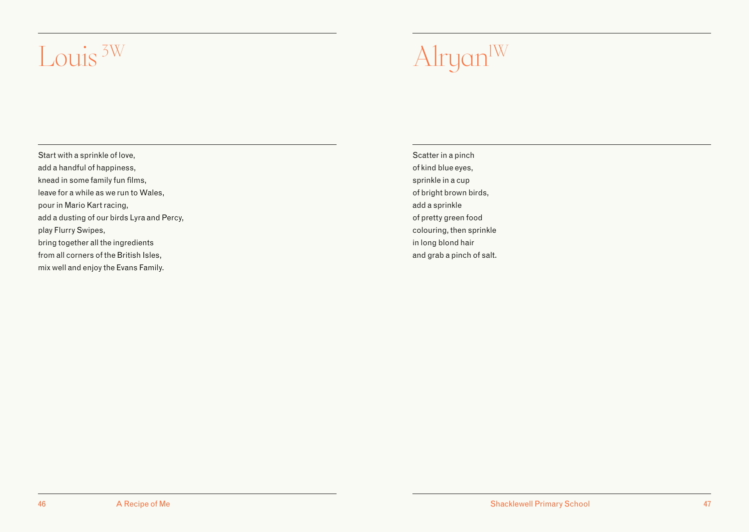### <span id="page-24-0"></span>Louis<sup>3W</sup> Alryan<sup>IW</sup>

Start with a sprinkle of love, add a handful of happiness, knead in some family fun films, leave for a while as we run to Wales, pour in Mario Kart racing, add a dusting of our birds Lyra and Percy, play Flurry Swipes, bring together all the ingredients from all corners of the British Isles, mix well and enjoy the Evans Family.

Scatter in a pinch of kind blue eyes, sprinkle in a cup of bright brown birds, add a sprinkle of pretty green food colouring, then sprinkle in long blond hair and grab a pinch of salt.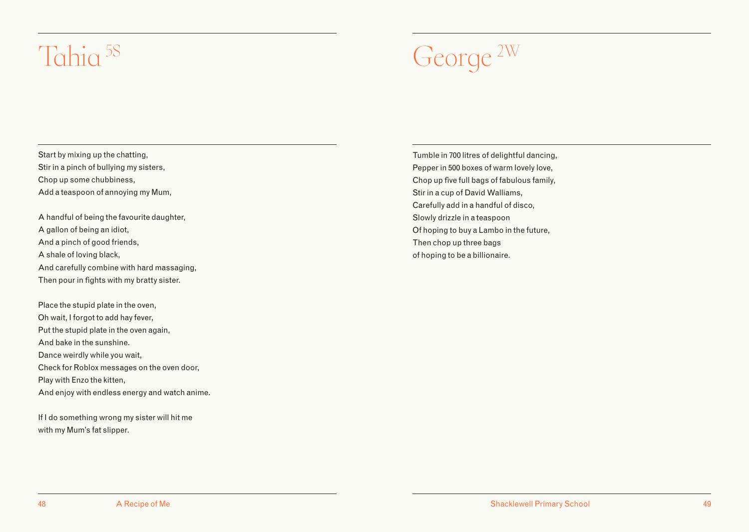### <span id="page-25-0"></span>Tahia 5S George 2W

Start by mixing up the chatting, Stir in a pinch of bullying my sisters, Chop up some chubbiness, Add a teaspoon of annoying my Mum,

A handful of being the favourite daughter, A gallon of being an idiot, And a pinch of good friends, A shale of loving black, And carefully combine with hard massaging, Then pour in fights with my bratty sister.

Place the stupid plate in the oven, Oh wait, I forgot to add hay fever, Put the stupid plate in the oven again, And bake in the sunshine. Dance weirdly while you wait, Check for Roblox messages on the oven door, Play with Enzo the kitten, And enjoy with endless energy and watch anime.

If I do something wrong my sister will hit me with my Mum's fat slipper.

Tumble in 700 litres of delightful dancing, Pepper in 500 boxes of warm lovely love, Chop up five full bags of fabulous family, Stir in a cup of David Walliams, Carefully add in a handful of disco, Slowly drizzle in a teaspoon Of hoping to buy a Lambo in the future, Then chop up three bags of hoping to be a billionaire.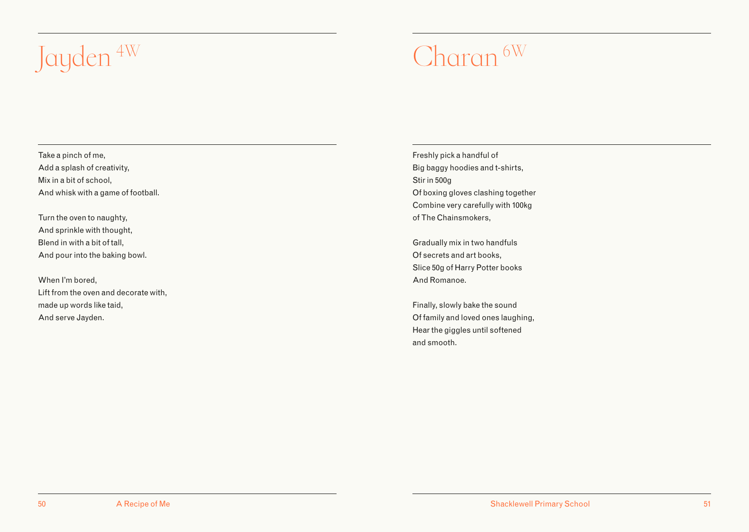# <span id="page-26-0"></span>Jayden  $4W$  Charan  $6W$

Take a pinch of me, Add a splash of creativity, Mix in a bit of school, And whisk with a game of football.

Turn the oven to naughty, And sprinkle with thought, Blend in with a bit of tall, And pour into the baking bowl.

When I'm bored, Lift from the oven and decorate with, made up words like taid, And serve Jayden.

Freshly pick a handful of Big baggy hoodies and t-shirts, Stir in 500g Of boxing gloves clashing together Combine very carefully with 100kg of The Chainsmokers,

Gradually mix in two handfuls Of secrets and art books, Slice 50g of Harry Potter books And Romanoe.

Finally, slowly bake the sound Of family and loved ones laughing, Hear the giggles until softened and smooth.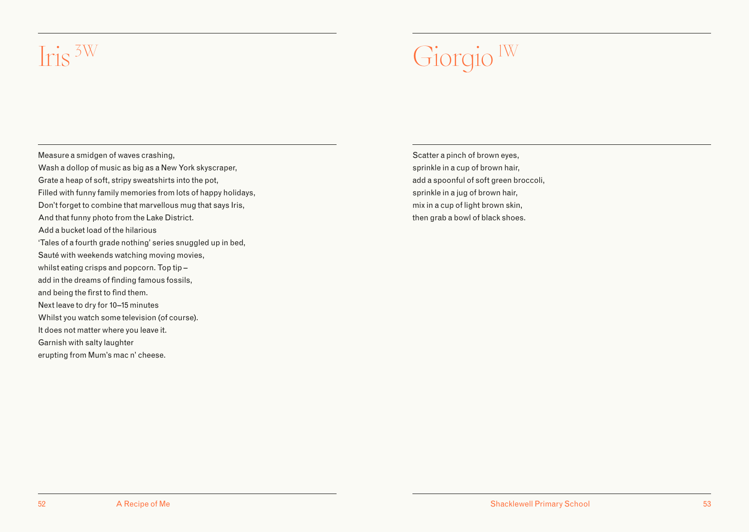### <span id="page-27-0"></span>Iris <sup>3W</sup> Giorgio <sup>IW</sup>

Measure a smidgen of waves crashing, Wash a dollop of music as big as a New York skyscraper, Grate a heap of soft, stripy sweatshirts into the pot, Filled with funny family memories from lots of happy holidays, Don't forget to combine that marvellous mug that says Iris, And that funny photo from the Lake District. Add a bucket load of the hilarious 'Tales of a fourth grade nothing' series snuggled up in bed, Sauté with weekends watching moving movies, whilst eating crisps and popcorn. Top tip – add in the dreams of finding famous fossils, and being the first to find them. Next leave to dry for 10–15 minutes Whilst you watch some television (of course). It does not matter where you leave it. Garnish with salty laughter erupting from Mum's mac n' cheese.

Scatter a pinch of brown eyes, sprinkle in a cup of brown hair, add a spoonful of soft green broccoli, sprinkle in a jug of brown hair, mix in a cup of light brown skin, then grab a bowl of black shoes.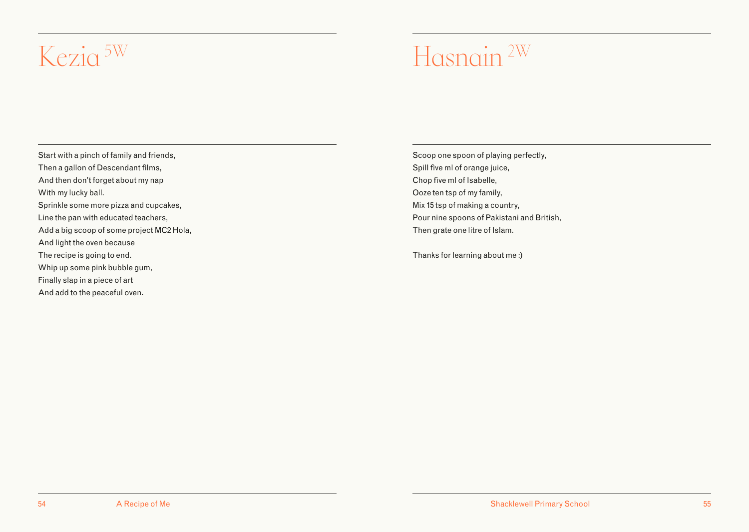### <span id="page-28-0"></span>Kezia <sup>5W</sup> Hasnain <sup>2W</sup>

Start with a pinch of family and friends, Then a gallon of Descendant films, And then don't forget about my nap With my lucky ball. Sprinkle some more pizza and cupcakes, Line the pan with educated teachers, Add a big scoop of some project MC2 Hola, And light the oven because The recipe is going to end. Whip up some pink bubble gum, Finally slap in a piece of art And add to the peaceful oven.

Scoop one spoon of playing perfectly, Spill five ml of orange juice, Chop five ml of Isabelle, Ooze ten tsp of my family, Mix 15 tsp of making a country, Pour nine spoons of Pakistani and British, Then grate one litre of Islam.

Thanks for learning about me :)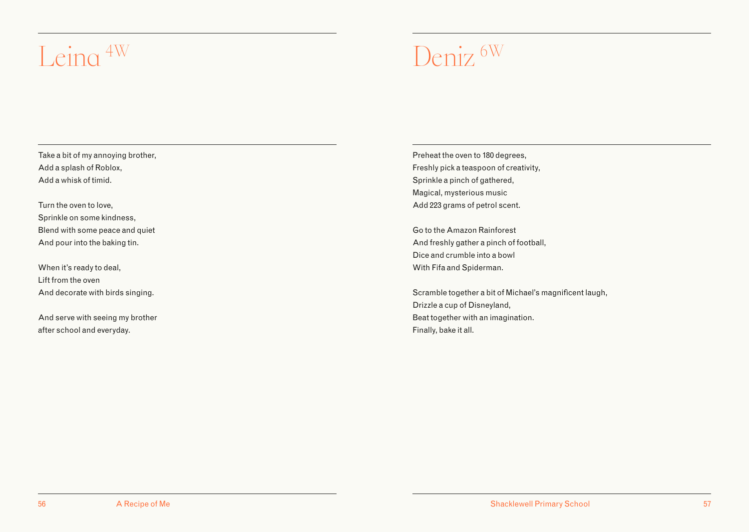### <span id="page-29-0"></span>Leina <sup>4W</sup> Deniz <sup>6W</sup>

Take a bit of my annoying brother, Add a splash of Roblox, Add a whisk of timid.

Turn the oven to love, Sprinkle on some kindness, Blend with some peace and quiet And pour into the baking tin.

When it's ready to deal, Lift from the oven And decorate with birds singing.

And serve with seeing my brother after school and everyday.

Preheat the oven to 180 degrees, Freshly pick a teaspoon of creativity, Sprinkle a pinch of gathered, Magical, mysterious music Add 223 grams of petrol scent.

Go to the Amazon Rainforest And freshly gather a pinch of football, Dice and crumble into a bowl With Fifa and Spiderman.

Scramble together a bit of Michael's magnificent laugh, Drizzle a cup of Disneyland, Beat together with an imagination. Finally, bake it all.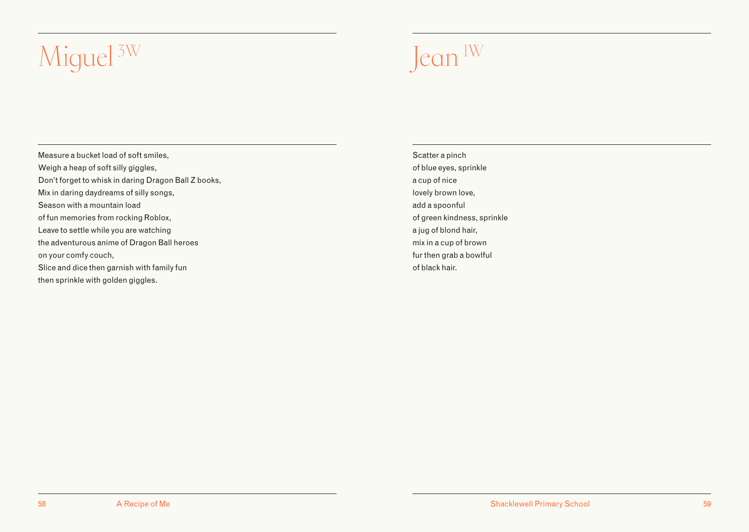# <span id="page-30-0"></span>Miguel<sup>3W</sup> Jean <sup>IW</sup>

Measure a bucket load of soft smiles, Weigh a heap of soft silly giggles, Don't forget to whisk in daring Dragon Ball Z books, Mix in daring daydreams of silly songs, Season with a mountain load of fun memories from rocking Roblox, Leave to settle while you are watching the adventurous anime of Dragon Ball heroes on your comfy couch, Slice and dice then garnish with family fun then sprinkle with golden giggles.

Scatter a pinch of blue eyes, sprinkle a cup of nice lovely brown love, add a spoonful of green kindness, sprinkle a jug of blond hair, mix in a cup of brown fur then grab a bowlful of black hair.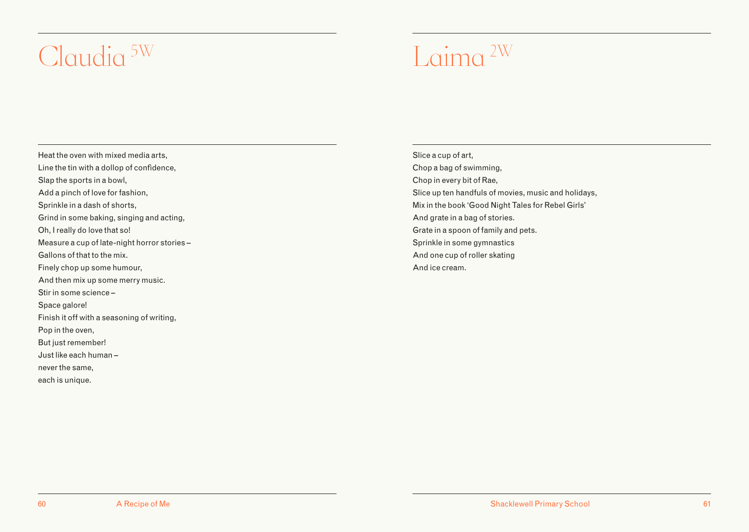### <span id="page-31-0"></span> $Cl$ audia <sup>5W</sup>  $I_{\text{a}}$ ima <sup>2W</sup>

Heat the oven with mixed media arts, Line the tin with a dollop of confidence, Slap the sports in a bowl, Add a pinch of love for fashion, Sprinkle in a dash of shorts, Grind in some baking, singing and acting, Oh, I really do love that so! Measure a cup of late-night horror stories – Gallons of that to the mix. Finely chop up some humour, And then mix up some merry music. Stir in some science – Space galore! Finish it off with a seasoning of writing, Pop in the oven, But just remember! Just like each human – never the same, each is unique.

Slice a cup of art, Chop a bag of swimming, Chop in every bit of Rae, Slice up ten handfuls of movies, music and holidays, Mix in the book 'Good Night Tales for Rebel Girls' And grate in a bag of stories. Grate in a spoon of family and pets. Sprinkle in some gymnastics And one cup of roller skating And ice cream.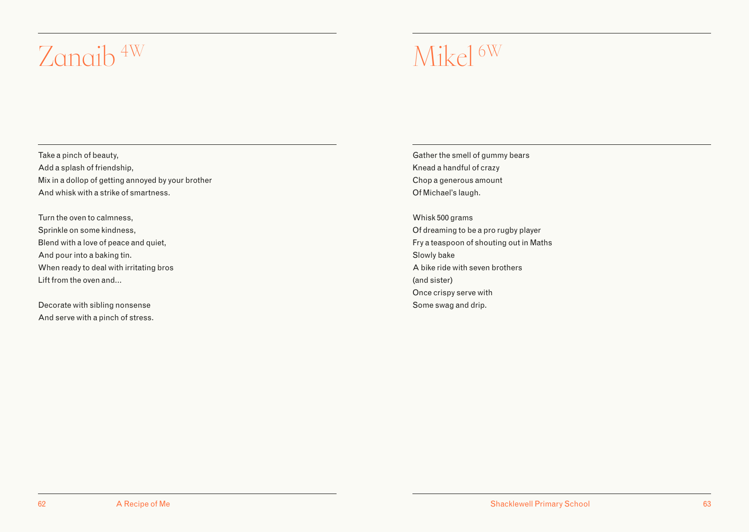### <span id="page-32-0"></span>Zanaib<sup>4W</sup> Mikel<sup>6W</sup>

Take a pinch of beauty, Add a splash of friendship, Mix in a dollop of getting annoyed by your brother And whisk with a strike of smartness.

Turn the oven to calmness, Sprinkle on some kindness, Blend with a love of peace and quiet, And pour into a baking tin. When ready to deal with irritating bros Lift from the oven and…

Decorate with sibling nonsense And serve with a pinch of stress. Gather the smell of gummy bears Knead a handful of crazy Chop a generous amount Of Michael's laugh.

Whisk 500 grams Of dreaming to be a pro rugby player Fry a teaspoon of shouting out in Maths Slowly bake A bike ride with seven brothers (and sister) Once crispy serve with Some swag and drip.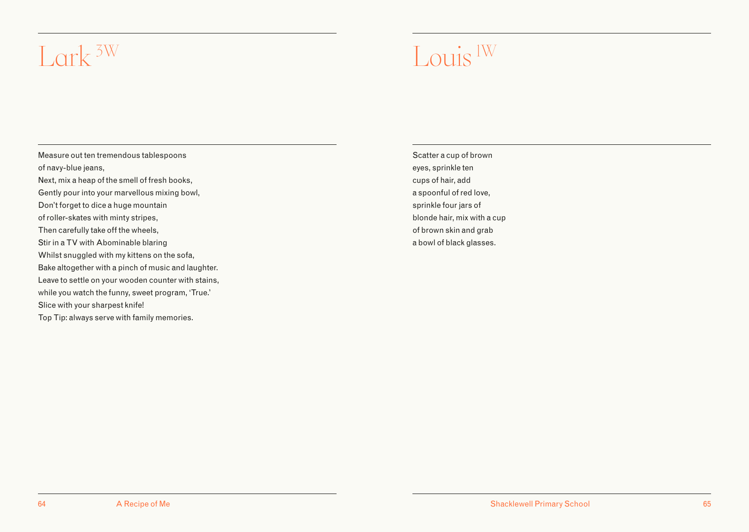### <span id="page-33-0"></span>Lork  $\frac{3W}{\pi}$  Louis  $\frac{1W}{\pi}$

Measure out ten tremendous tablespoons of navy-blue jeans, Next, mix a heap of the smell of fresh books, Gently pour into your marvellous mixing bowl, Don't forget to dice a huge mountain of roller-skates with minty stripes, Then carefully take off the wheels, Stir in a TV with Abominable blaring Whilst snuggled with my kittens on the sofa, Bake altogether with a pinch of music and laughter. Leave to settle on your wooden counter with stains, while you watch the funny, sweet program, 'True.' Slice with your sharpest knife! Top Tip: always serve with family memories.

Scatter a cup of brown eyes, sprinkle ten cups of hair, add a spoonful of red love, sprinkle four jars of blonde hair, mix with a cup of brown skin and grab a bowl of black glasses.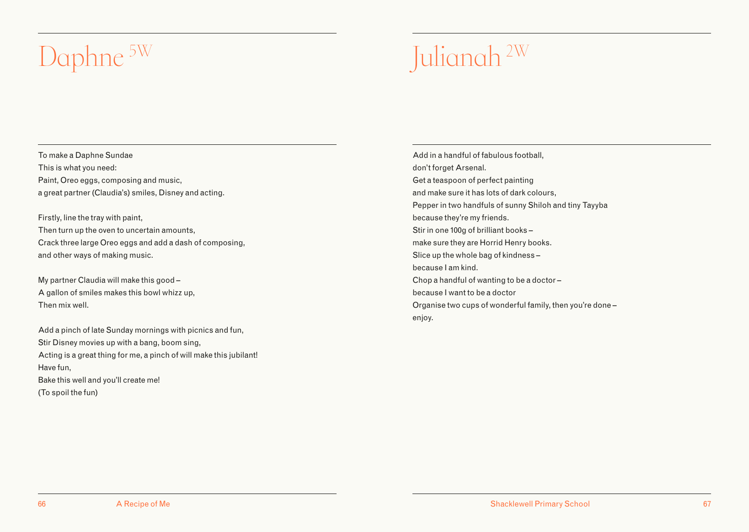### <span id="page-34-0"></span>Daphne <sup>5W</sup> Julianah <sup>2W</sup>

To make a Daphne Sundae This is what you need: Paint, Oreo eggs, composing and music, a great partner (Claudia's) smiles, Disney and acting.

Firstly, line the tray with paint, Then turn up the oven to uncertain amounts, Crack three large Oreo eggs and add a dash of composing, and other ways of making music.

My partner Claudia will make this good – A gallon of smiles makes this bowl whizz up, Then mix well.

Add a pinch of late Sunday mornings with picnics and fun, Stir Disney movies up with a bang, boom sing, Acting is a great thing for me, a pinch of will make this jubilant! Have fun, Bake this well and you'll create me! (To spoil the fun)

Add in a handful of fabulous football, don't forget Arsenal. Get a teaspoon of perfect painting and make sure it has lots of dark colours, Pepper in two handfuls of sunny Shiloh and tiny Tayyba because they're my friends. Stir in one 100g of brilliant books – make sure they are Horrid Henry books. Slice up the whole bag of kindness – because I am kind. Chop a handful of wanting to be a doctor – because I want to be a doctor Organise two cups of wonderful family, then you're done – enjoy.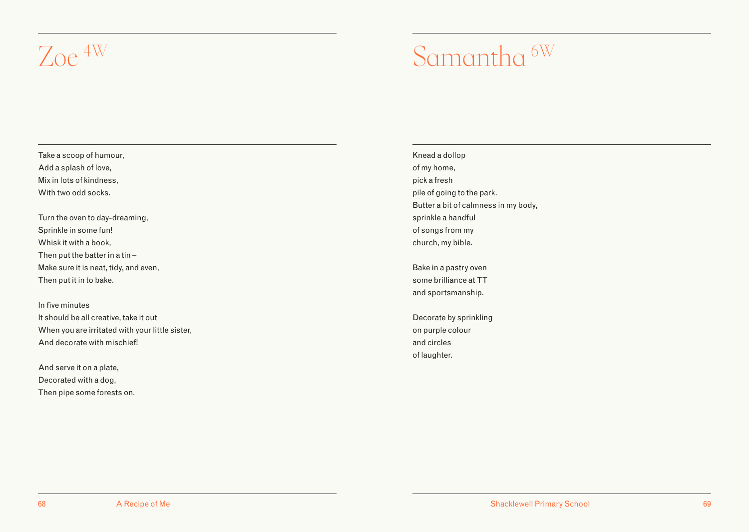### <span id="page-35-0"></span>Zoe  $4W$  Samantha  $6W$

Take a scoop of humour, Add a splash of love, Mix in lots of kindness, With two odd socks.

Turn the oven to day-dreaming, Sprinkle in some fun! Whisk it with a book, Then put the batter in a tin – Make sure it is neat, tidy, and even, Then put it in to bake.

In five minutes It should be all creative, take it out When you are irritated with your little sister, And decorate with mischief!

And serve it on a plate, Decorated with a dog, Then pipe some forests on. Knead a dollop of my home, pick a fresh pile of going to the park. Butter a bit of calmness in my body, sprinkle a handful of songs from my church, my bible.

Bake in a pastry oven some brilliance at TT and sportsmanship.

Decorate by sprinkling on purple colour and circles of laughter.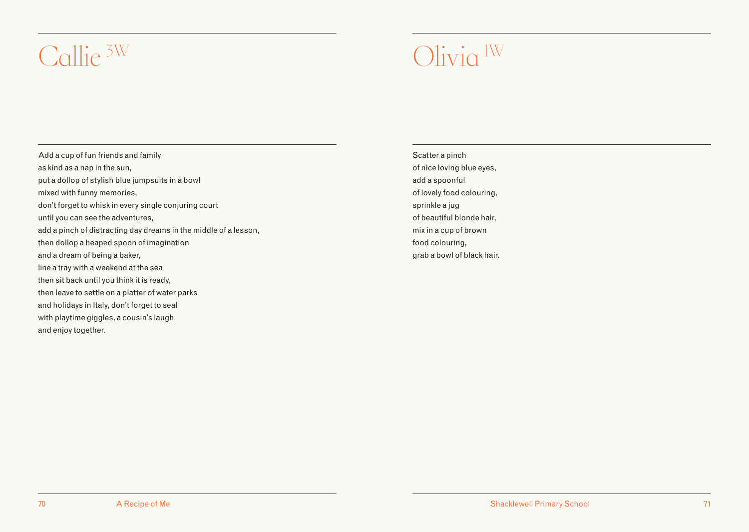### <span id="page-36-0"></span>Callie  $5W$  1W 1W

Add a cup of fun friends and family as kind as a nap in the sun, put a dollop of stylish blue jumpsuits in a bowl mixed with funny memories, don't forget to whisk in every single conjuring court until you can see the adventures, add a pinch of distracting day dreams in the middle of a lesson, then dollop a heaped spoon of imagination and a dream of being a baker, line a tray with a weekend at the sea then sit back until you think it is ready, then leave to settle on a platter of water parks and holidays in Italy, don't forget to seal with playtime giggles, a cousin's laugh and enjoy together.

Scatter a pinch of nice loving blue eyes, add a spoonful of lovely food colouring, sprinkle a jug of beautiful blonde hair, mix in a cup of brown food colouring, grab a bowl of black hair.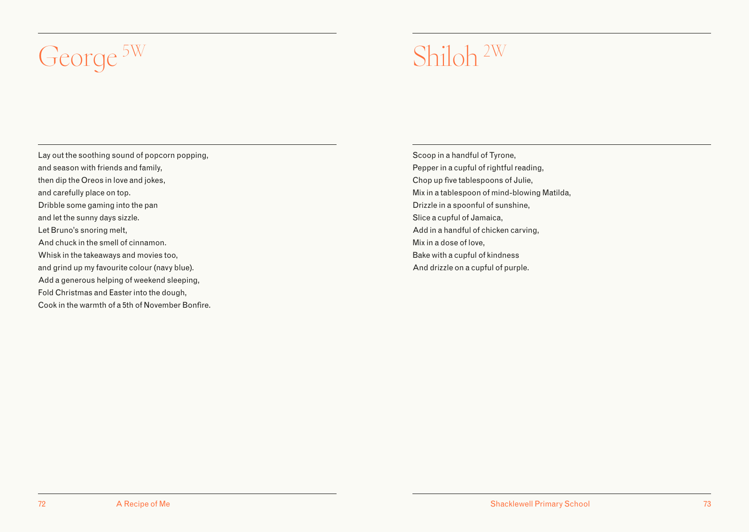### <span id="page-37-0"></span>George <sup>5W</sup> Shiloh <sup>2W</sup>

Lay out the soothing sound of popcorn popping, and season with friends and family, then dip the Oreos in love and jokes, and carefully place on top. Dribble some gaming into the pan and let the sunny days sizzle. Let Bruno's snoring melt, And chuck in the smell of cinnamon. Whisk in the takeaways and movies too, and grind up my favourite colour (navy blue). Add a generous helping of weekend sleeping, Fold Christmas and Easter into the dough, Cook in the warmth of a 5th of November Bonfire.

Scoop in a handful of Tyrone, Pepper in a cupful of rightful reading, Chop up five tablespoons of Julie, Mix in a tablespoon of mind-blowing Matilda, Drizzle in a spoonful of sunshine, Slice a cupful of Jamaica, Add in a handful of chicken carving, Mix in a dose of love, Bake with a cupful of kindness And drizzle on a cupful of purple.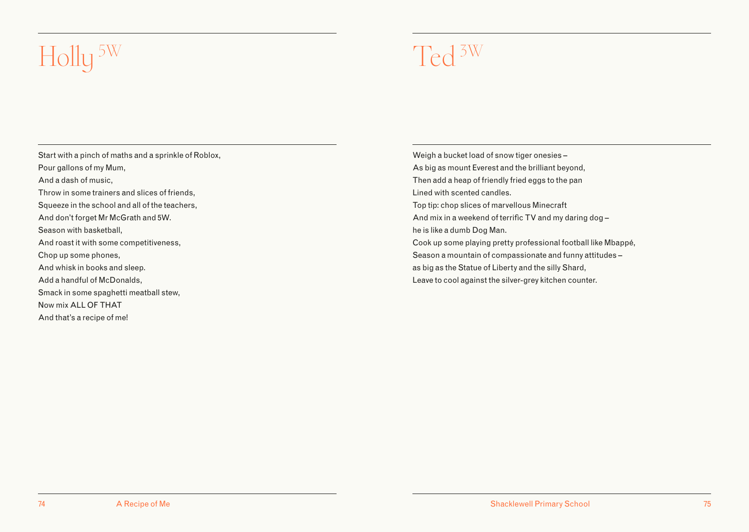## <span id="page-38-0"></span>Holly<sup>5W</sup> Ted <sup>3W</sup>

Start with a pinch of maths and a sprinkle of Roblox, Pour gallons of my Mum, And a dash of music, Throw in some trainers and slices of friends, Squeeze in the school and all of the teachers, And don't forget Mr McGrath and 5W. Season with basketball, And roast it with some competitiveness, Chop up some phones, And whisk in books and sleep. Add a handful of McDonalds, Smack in some spaghetti meatball stew, Now mix ALL OF THAT And that's a recipe of me!

Weigh a bucket load of snow tiger onesies – As big as mount Everest and the brilliant beyond, Then add a heap of friendly fried eggs to the pan Lined with scented candles. Top tip: chop slices of marvellous Minecraft And mix in a weekend of terrific TV and my daring dog – he is like a dumb Dog Man. Cook up some playing pretty professional football like Mbappé, Season a mountain of compassionate and funny attitudes – as big as the Statue of Liberty and the silly Shard, Leave to cool against the silver-grey kitchen counter.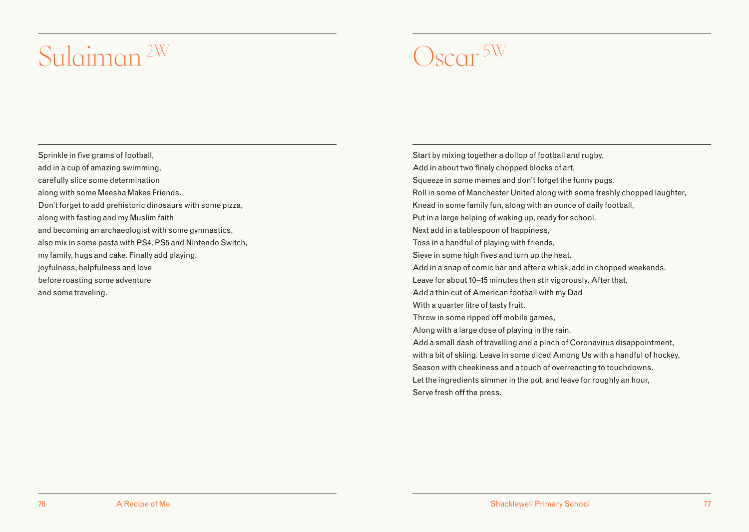### <span id="page-39-0"></span>Oscar 5W Sulaiman 2W

Sprinkle in five grams of football, add in a cup of amazing swimming, carefully slice some determination along with some Meesha Makes Friends. Don't forget to add prehistoric dinosaurs with some pizza, along with fasting and my Muslim faith and becoming an archaeologist with some gymnastics, also mix in some pasta with PS4, PS5 and Nintendo Switch, my family, hugs and cake. Finally add playing, joyfulness, helpfulness and love before roasting some adventure and some traveling.

Start by mixing together a dollop of football and rugby, Add in about two finely chopped blocks of art, Squeeze in some memes and don't forget the funny pugs. Roll in some of Manchester United along with some freshly chopped laughter, Knead in some family fun, along with an ounce of daily football, Put in a large helping of waking up, ready for school. Next add in a tablespoon of happiness, Toss in a handful of playing with friends, Sieve in some high fives and turn up the heat. Add in a snap of comic bar and after a whisk, add in chopped weekends. Leave for about 10–15 minutes then stir vigorously. After that, Add a thin cut of American football with my Dad With a quarter litre of tasty fruit. Throw in some ripped off mobile games, Along with a large dose of playing in the rain, Add a small dash of travelling and a pinch of Coronavirus disappointment, with a bit of skiing. Leave in some diced Among Us with a handful of hockey, Season with cheekiness and a touch of overreacting to touchdowns. Let the ingredients simmer in the pot, and leave for roughly an hour, Serve fresh off the press.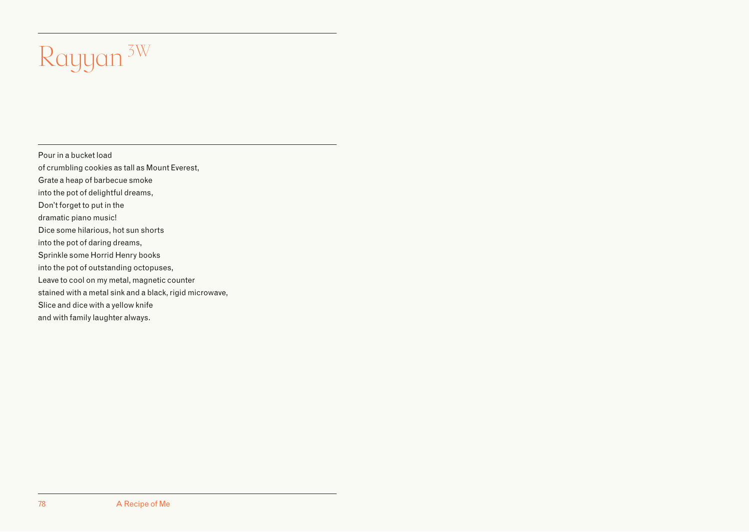## <span id="page-40-0"></span>Rayyan 3W

Pour in a bucket load of crumbling cookies as tall as Mount Everest, Grate a heap of barbecue smoke

into the pot of delightful dreams,

Don't forget to put in the

dramatic piano music!

Dice some hilarious, hot sun shorts

into the pot of daring dreams,

Sprinkle some Horrid Henry books

into the pot of outstanding octopuses,

Leave to cool on my metal, magnetic counter

stained with a metal sink and a black, rigid microwave,

Slice and dice with a yellow knife

and with family laughter always.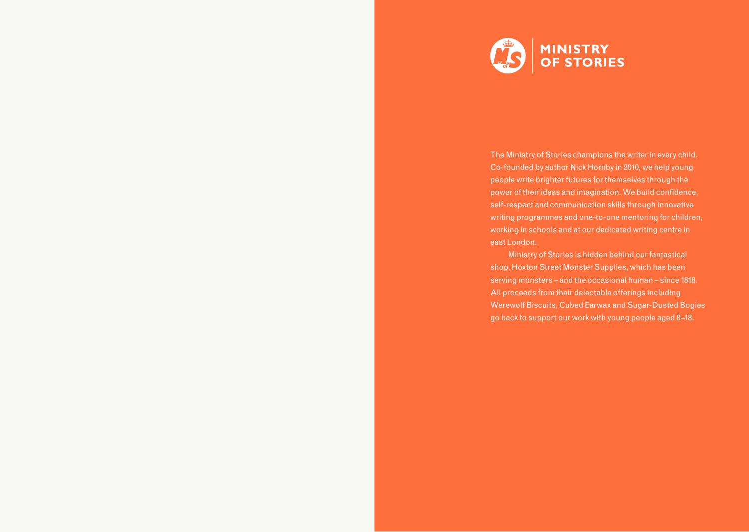

The Ministry of Stories champions the writer in every child. Co-founded by author Nick Hornby in 2010, we help young people write brighter futures for themselves through the power of their ideas and imagination. We build confidence, self-respect and communication skills through innovative writing programmes and one-to-one mentoring for children, working in schools and at our dedicated writing centre in east London.

Ministry of Stories is hidden behind our fantastical shop, Hoxton Street Monster Supplies, which has been serving monsters – and the occasional human – since 1818. All proceeds from their delectable offerings including Werewolf Biscuits, Cubed Earwax and Sugar-Dusted Bogies go back to support our work with young people aged 8–18.